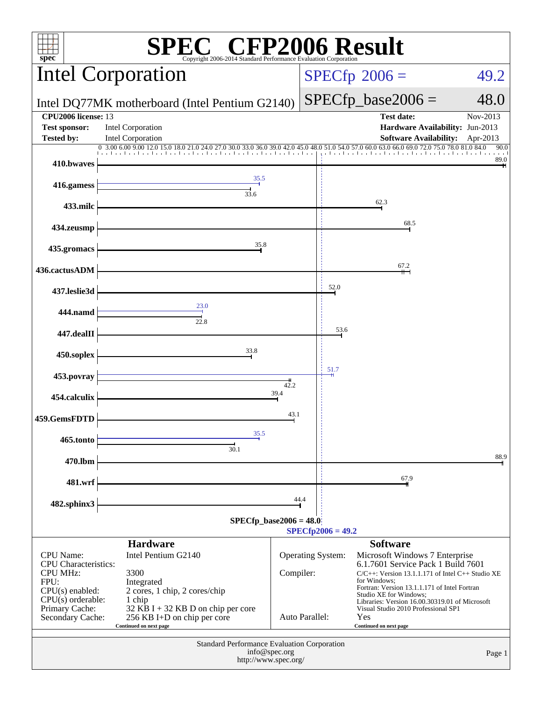| <b>EC® CFP2006 Result</b><br>$spec^*$<br>Copyright 2006-2014 Standard Performance Evaluation Corporation                                                     |                                                                                                                                                                                     |                             |  |                          |                                                                                                                                                                                                                                                                                                                                                 |                      |  |
|--------------------------------------------------------------------------------------------------------------------------------------------------------------|-------------------------------------------------------------------------------------------------------------------------------------------------------------------------------------|-----------------------------|--|--------------------------|-------------------------------------------------------------------------------------------------------------------------------------------------------------------------------------------------------------------------------------------------------------------------------------------------------------------------------------------------|----------------------|--|
|                                                                                                                                                              | <b>Intel Corporation</b>                                                                                                                                                            |                             |  | $SPECfp^{\circ}2006 =$   | 49.2                                                                                                                                                                                                                                                                                                                                            |                      |  |
| Intel DQ77MK motherboard (Intel Pentium G2140)                                                                                                               |                                                                                                                                                                                     |                             |  |                          | $SPECfp\_base2006 =$                                                                                                                                                                                                                                                                                                                            | 48.0                 |  |
| <b>CPU2006</b> license: 13<br><b>Test sponsor:</b><br>Tested by:                                                                                             | <b>Intel Corporation</b><br>Intel Corporation                                                                                                                                       |                             |  |                          | <b>Test date:</b><br>Hardware Availability: Jun-2013<br><b>Software Availability:</b>                                                                                                                                                                                                                                                           | Nov-2013<br>Apr-2013 |  |
|                                                                                                                                                              | 0 3.00 6.00 9.00 12.0 15.0 18.0 21.0 24.0 27.0 30.0 33.0 36.0 39.0 42.0 45.0                                                                                                        |                             |  |                          | 48.0 51.0 54.0 57.0 60.0 63.0 66.0 69.0 72.0 75.0 78.0 81.0 84.0                                                                                                                                                                                                                                                                                | 90.0<br>89.0         |  |
| 410.bwaves                                                                                                                                                   | 35.5                                                                                                                                                                                |                             |  |                          |                                                                                                                                                                                                                                                                                                                                                 |                      |  |
| 416.gamess                                                                                                                                                   | 33.6                                                                                                                                                                                |                             |  |                          | 62.3                                                                                                                                                                                                                                                                                                                                            |                      |  |
| 433.milc                                                                                                                                                     |                                                                                                                                                                                     |                             |  |                          | 68.5                                                                                                                                                                                                                                                                                                                                            |                      |  |
| 434.zeusmp                                                                                                                                                   | 35.8                                                                                                                                                                                |                             |  |                          |                                                                                                                                                                                                                                                                                                                                                 |                      |  |
| 435.gromacs<br>436.cactusADM                                                                                                                                 |                                                                                                                                                                                     |                             |  |                          | 67.2                                                                                                                                                                                                                                                                                                                                            |                      |  |
| 437.leslie3d                                                                                                                                                 |                                                                                                                                                                                     |                             |  | 52.0                     |                                                                                                                                                                                                                                                                                                                                                 |                      |  |
| 444.namd                                                                                                                                                     | 23.0                                                                                                                                                                                |                             |  |                          |                                                                                                                                                                                                                                                                                                                                                 |                      |  |
| 447.dealII                                                                                                                                                   | 22.8                                                                                                                                                                                | 53.6                        |  |                          |                                                                                                                                                                                                                                                                                                                                                 |                      |  |
| 450.soplex                                                                                                                                                   | 33.8                                                                                                                                                                                |                             |  |                          |                                                                                                                                                                                                                                                                                                                                                 |                      |  |
|                                                                                                                                                              |                                                                                                                                                                                     | 51.7                        |  |                          |                                                                                                                                                                                                                                                                                                                                                 |                      |  |
| 454.calculix                                                                                                                                                 | 453.povray<br>42.2<br>39.4                                                                                                                                                          |                             |  |                          |                                                                                                                                                                                                                                                                                                                                                 |                      |  |
| 459.GemsFDTD                                                                                                                                                 |                                                                                                                                                                                     | 43.1                        |  |                          |                                                                                                                                                                                                                                                                                                                                                 |                      |  |
| 465.tonto                                                                                                                                                    | 35.5                                                                                                                                                                                |                             |  |                          |                                                                                                                                                                                                                                                                                                                                                 |                      |  |
| 470.lbm                                                                                                                                                      | 30.1                                                                                                                                                                                |                             |  |                          |                                                                                                                                                                                                                                                                                                                                                 | 88.9                 |  |
| 481.wrf                                                                                                                                                      |                                                                                                                                                                                     |                             |  |                          | 67.9                                                                                                                                                                                                                                                                                                                                            |                      |  |
| 482.sphinx3                                                                                                                                                  |                                                                                                                                                                                     | 44.4                        |  |                          |                                                                                                                                                                                                                                                                                                                                                 |                      |  |
| $SPECfp\_base2006 = 48.0$                                                                                                                                    |                                                                                                                                                                                     |                             |  |                          |                                                                                                                                                                                                                                                                                                                                                 |                      |  |
|                                                                                                                                                              | <b>Hardware</b>                                                                                                                                                                     |                             |  | $SPECfp2006 = 49.2$      | <b>Software</b>                                                                                                                                                                                                                                                                                                                                 |                      |  |
| <b>CPU</b> Name:<br><b>CPU</b> Characteristics:<br><b>CPU MHz:</b><br>FPU:<br>$CPU(s)$ enabled:<br>$CPU(s)$ orderable:<br>Primary Cache:<br>Secondary Cache: | Intel Pentium G2140<br>3300<br>Integrated<br>2 cores, 1 chip, 2 cores/chip<br>1 chip<br>32 KB I + 32 KB D on chip per core<br>256 KB I+D on chip per core<br>Continued on next page | Compiler:<br>Auto Parallel: |  | <b>Operating System:</b> | Microsoft Windows 7 Enterprise<br>6.1.7601 Service Pack 1 Build 7601<br>$C/C++$ : Version 13.1.1.171 of Intel C++ Studio XE<br>for Windows:<br>Fortran: Version 13.1.1.171 of Intel Fortran<br>Studio XE for Windows;<br>Libraries: Version 16.00.30319.01 of Microsoft<br>Visual Studio 2010 Professional SP1<br>Yes<br>Continued on next page |                      |  |
| Standard Performance Evaluation Corporation<br>info@spec.org<br>Page 1<br>http://www.spec.org/                                                               |                                                                                                                                                                                     |                             |  |                          |                                                                                                                                                                                                                                                                                                                                                 |                      |  |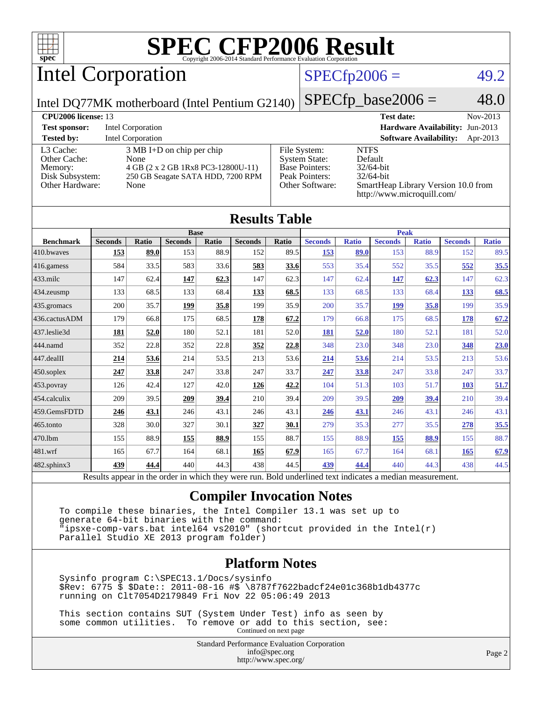

# Intel Corporation

### $SPECfp2006 = 49.2$  $SPECfp2006 = 49.2$

Intel DQ77MK motherboard (Intel Pentium G2140)

 $SPECTp\_base2006 = 48.0$ 

| <b>CPU2006 license: 13</b>                                                        |                                                                                                                                |                                                                                                    | <b>Test date:</b><br>Nov-2013                                                                                               |
|-----------------------------------------------------------------------------------|--------------------------------------------------------------------------------------------------------------------------------|----------------------------------------------------------------------------------------------------|-----------------------------------------------------------------------------------------------------------------------------|
| <b>Test sponsor:</b>                                                              | Intel Corporation                                                                                                              |                                                                                                    | Hardware Availability: Jun-2013                                                                                             |
| <b>Tested by:</b>                                                                 | Intel Corporation                                                                                                              |                                                                                                    | <b>Software Availability:</b><br>Apr-2013                                                                                   |
| L3 Cache:<br>Other Cache:<br>Memory:<br>Disk Subsystem:<br><b>Other Hardware:</b> | $3 \text{ MB I+D}$ on chip per chip<br>None<br>4 GB (2 x 2 GB 1Rx8 PC3-12800U-11)<br>250 GB Seagate SATA HDD, 7200 RPM<br>None | File System:<br><b>System State:</b><br><b>Base Pointers:</b><br>Peak Pointers:<br>Other Software: | <b>NTFS</b><br>Default<br>$32/64$ -bit<br>$32/64$ -bit<br>SmartHeap Library Version 10.0 from<br>http://www.microquill.com/ |

| <b>Results Table</b> |                |       |                |       |                |             |                |              |                |              |                |              |
|----------------------|----------------|-------|----------------|-------|----------------|-------------|----------------|--------------|----------------|--------------|----------------|--------------|
|                      | <b>Base</b>    |       |                |       |                | <b>Peak</b> |                |              |                |              |                |              |
| <b>Benchmark</b>     | <b>Seconds</b> | Ratio | <b>Seconds</b> | Ratio | <b>Seconds</b> | Ratio       | <b>Seconds</b> | <b>Ratio</b> | <b>Seconds</b> | <b>Ratio</b> | <b>Seconds</b> | <b>Ratio</b> |
| 410.bwayes           | 153            | 89.0  | 153            | 88.9  | 152            | 89.5        | <u>153</u>     | 89.0         | 153            | 88.9         | 152            | 89.5         |
| 416.gamess           | 584            | 33.5  | 583            | 33.6  | 583            | 33.6        | 553            | 35.4         | 552            | 35.5         | 552            | 35.5         |
| $433$ .milc          | 147            | 62.4  | 147            | 62.3  | 147            | 62.3        | 147            | 62.4         | <u>147</u>     | 62.3         | 147            | 62.3         |
| 434.zeusmp           | 133            | 68.5  | 133            | 68.4  | <u>133</u>     | 68.5        | 133            | 68.5         | 133            | 68.4         | 133            | 68.5         |
| 435.gromacs          | 200            | 35.7  | 199            | 35.8  | 199            | 35.9        | 200            | 35.7         | <u>199</u>     | 35.8         | 199            | 35.9         |
| 436.cactusADM        | 179            | 66.8  | 175            | 68.5  | <u>178</u>     | 67.2        | 179            | 66.8         | 175            | 68.5         | <u>178</u>     | 67.2         |
| 437.leslie3d         | 181            | 52.0  | 180            | 52.1  | 181            | 52.0        | 181            | 52.0         | 180            | 52.1         | 181            | 52.0         |
| 444.namd             | 352            | 22.8  | 352            | 22.8  | 352            | 22.8        | 348            | 23.0         | 348            | 23.0         | 348            | 23.0         |
| 447.dealII           | 214            | 53.6  | 214            | 53.5  | 213            | 53.6        | 214            | 53.6         | 214            | 53.5         | 213            | 53.6         |
| 450.soplex           | 247            | 33.8  | 247            | 33.8  | 247            | 33.7        | 247            | 33.8         | 247            | 33.8         | 247            | 33.7         |
| 453.povray           | 126            | 42.4  | 127            | 42.0  | 126            | 42.2        | 104            | 51.3         | 103            | 51.7         | 103            | 51.7         |
| 454.calculix         | 209            | 39.5  | 209            | 39.4  | 210            | 39.4        | 209            | 39.5         | <u>209</u>     | 39.4         | 210            | 39.4         |
| 459.GemsFDTD         | 246            | 43.1  | 246            | 43.1  | 246            | 43.1        | <u>246</u>     | 43.1         | 246            | 43.1         | 246            | 43.1         |
| 465.tonto            | 328            | 30.0  | 327            | 30.1  | 327            | 30.1        | 279            | 35.3         | 277            | 35.5         | 278            | 35.5         |
| 470.1bm              | 155            | 88.9  | <b>155</b>     | 88.9  | 155            | 88.7        | 155            | 88.9         | <u>155</u>     | 88.9         | 155            | 88.7         |
| 481.wrf              | 165            | 67.7  | 164            | 68.1  | 165            | 67.9        | 165            | 67.7         | 164            | 68.1         | 165            | 67.9         |
| 482.sphinx3          | 439            | 44.4  | 440            | 44.3  | 438            | 44.5        | 439            | 44.4         | 440            | 44.3         | 438            | 44.5         |

Results appear in the [order in which they were run.](http://www.spec.org/auto/cpu2006/Docs/result-fields.html#RunOrder) Bold underlined text [indicates a median measurement.](http://www.spec.org/auto/cpu2006/Docs/result-fields.html#Median)

### **[Compiler Invocation Notes](http://www.spec.org/auto/cpu2006/Docs/result-fields.html#CompilerInvocationNotes)**

 To compile these binaries, the Intel Compiler 13.1 was set up to generate 64-bit binaries with the command: "ipsxe-comp-vars.bat intel64 vs2010" (shortcut provided in the Intel(r) Parallel Studio XE 2013 program folder)

### **[Platform Notes](http://www.spec.org/auto/cpu2006/Docs/result-fields.html#PlatformNotes)**

 Sysinfo program C:\SPEC13.1/Docs/sysinfo \$Rev: 6775 \$ \$Date:: 2011-08-16 #\$ \8787f7622badcf24e01c368b1db4377c running on Clt7054D2179849 Fri Nov 22 05:06:49 2013

 This section contains SUT (System Under Test) info as seen by some common utilities. To remove or add to this section, see: Continued on next page

> Standard Performance Evaluation Corporation [info@spec.org](mailto:info@spec.org) <http://www.spec.org/>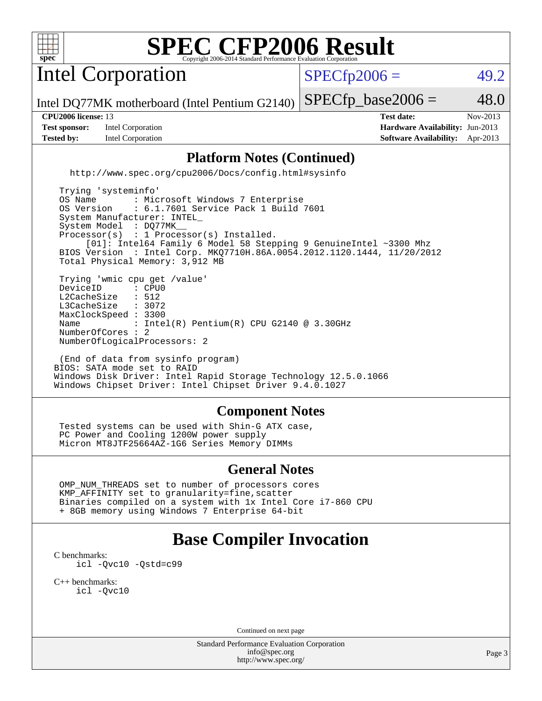

Intel Corporation

 $SPECTp2006 =$  49.2

Intel DQ77MK motherboard (Intel Pentium G2140)  $SPECTp\_base2006 = 48.0$ 

**[Test sponsor:](http://www.spec.org/auto/cpu2006/Docs/result-fields.html#Testsponsor)** Intel Corporation **[Hardware Availability:](http://www.spec.org/auto/cpu2006/Docs/result-fields.html#HardwareAvailability)** Jun-2013 **[Tested by:](http://www.spec.org/auto/cpu2006/Docs/result-fields.html#Testedby)** Intel Corporation **[Software Availability:](http://www.spec.org/auto/cpu2006/Docs/result-fields.html#SoftwareAvailability)** Apr-2013

**[CPU2006 license:](http://www.spec.org/auto/cpu2006/Docs/result-fields.html#CPU2006license)** 13 **[Test date:](http://www.spec.org/auto/cpu2006/Docs/result-fields.html#Testdate)** Nov-2013

### **[Platform Notes \(Continued\)](http://www.spec.org/auto/cpu2006/Docs/result-fields.html#PlatformNotes)**

<http://www.spec.org/cpu2006/Docs/config.html#sysinfo>

 Trying 'systeminfo' OS Name : Microsoft Windows 7 Enterprise<br>OS Version : 6.1.7601 Service Pack 1 Build : 6.1.7601 Service Pack 1 Build 7601 System Manufacturer: INTEL\_ System Model : DQ77MK Processor(s) : 1 Processor(s) Installed. [01]: Intel64 Family 6 Model 58 Stepping 9 GenuineIntel ~3300 Mhz BIOS Version : Intel Corp. MKQ7710H.86A.0054.2012.1120.1444, 11/20/2012 Total Physical Memory: 3,912 MB Trying 'wmic cpu get /value' DeviceID : CPU<br>L2CacheSize : 512 L2CacheSize : 512<br>L3CacheSize : 3072 L3CacheSize MaxClockSpeed : 3300 Name : Intel(R) Pentium(R) CPU G2140 @ 3.30GHz NumberOfCores : 2 NumberOfLogicalProcessors: 2

 (End of data from sysinfo program) BIOS: SATA mode set to RAID Windows Disk Driver: Intel Rapid Storage Technology 12.5.0.1066 Windows Chipset Driver: Intel Chipset Driver 9.4.0.1027

### **[Component Notes](http://www.spec.org/auto/cpu2006/Docs/result-fields.html#ComponentNotes)**

 Tested systems can be used with Shin-G ATX case, PC Power and Cooling 1200W power supply Micron MT8JTF25664AZ-1G6 Series Memory DIMMs

### **[General Notes](http://www.spec.org/auto/cpu2006/Docs/result-fields.html#GeneralNotes)**

 OMP\_NUM\_THREADS set to number of processors cores KMP\_AFFINITY set to granularity=fine,scatter Binaries compiled on a system with 1x Intel Core i7-860 CPU + 8GB memory using Windows 7 Enterprise 64-bit

## **[Base Compiler Invocation](http://www.spec.org/auto/cpu2006/Docs/result-fields.html#BaseCompilerInvocation)**

[C benchmarks](http://www.spec.org/auto/cpu2006/Docs/result-fields.html#Cbenchmarks): [icl -Qvc10](http://www.spec.org/cpu2006/results/res2014q3/cpu2006-20140701-30161.flags.html#user_CCbase_intel_icc_vc10_9607f3ecbcdf68042245f068e51b40c1) [-Qstd=c99](http://www.spec.org/cpu2006/results/res2014q3/cpu2006-20140701-30161.flags.html#user_CCbase_intel_compiler_c99_mode_1a3d110e3041b3ad4466830521bdad2a)

[C++ benchmarks:](http://www.spec.org/auto/cpu2006/Docs/result-fields.html#CXXbenchmarks) [icl -Qvc10](http://www.spec.org/cpu2006/results/res2014q3/cpu2006-20140701-30161.flags.html#user_CXXbase_intel_icc_vc10_9607f3ecbcdf68042245f068e51b40c1)

Continued on next page

Standard Performance Evaluation Corporation [info@spec.org](mailto:info@spec.org) <http://www.spec.org/>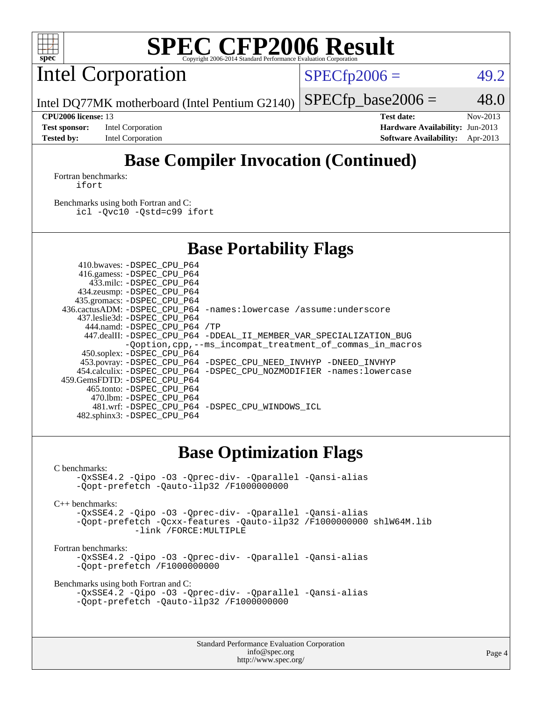

Intel Corporation

 $SPECTp2006 =$  49.2

Intel DQ77MK motherboard (Intel Pentium G2140)  $SPECfp\_base2006 = 48.0$ 

**[Test sponsor:](http://www.spec.org/auto/cpu2006/Docs/result-fields.html#Testsponsor)** Intel Corporation **[Hardware Availability:](http://www.spec.org/auto/cpu2006/Docs/result-fields.html#HardwareAvailability)** Jun-2013 **[Tested by:](http://www.spec.org/auto/cpu2006/Docs/result-fields.html#Testedby)** Intel Corporation **[Software Availability:](http://www.spec.org/auto/cpu2006/Docs/result-fields.html#SoftwareAvailability)** Apr-2013

**[CPU2006 license:](http://www.spec.org/auto/cpu2006/Docs/result-fields.html#CPU2006license)** 13 **[Test date:](http://www.spec.org/auto/cpu2006/Docs/result-fields.html#Testdate)** Nov-2013

## **[Base Compiler Invocation \(Continued\)](http://www.spec.org/auto/cpu2006/Docs/result-fields.html#BaseCompilerInvocation)**

[Fortran benchmarks](http://www.spec.org/auto/cpu2006/Docs/result-fields.html#Fortranbenchmarks): [ifort](http://www.spec.org/cpu2006/results/res2014q3/cpu2006-20140701-30161.flags.html#user_FCbase_intel_ifort_8a5e5e06b19a251bdeaf8fdab5d62f20)

[Benchmarks using both Fortran and C](http://www.spec.org/auto/cpu2006/Docs/result-fields.html#BenchmarksusingbothFortranandC): [icl -Qvc10](http://www.spec.org/cpu2006/results/res2014q3/cpu2006-20140701-30161.flags.html#user_CC_FCbase_intel_icc_vc10_9607f3ecbcdf68042245f068e51b40c1) [-Qstd=c99](http://www.spec.org/cpu2006/results/res2014q3/cpu2006-20140701-30161.flags.html#user_CC_FCbase_intel_compiler_c99_mode_1a3d110e3041b3ad4466830521bdad2a) [ifort](http://www.spec.org/cpu2006/results/res2014q3/cpu2006-20140701-30161.flags.html#user_CC_FCbase_intel_ifort_8a5e5e06b19a251bdeaf8fdab5d62f20)

## **[Base Portability Flags](http://www.spec.org/auto/cpu2006/Docs/result-fields.html#BasePortabilityFlags)**

| 410.bwaves: -DSPEC CPU P64   |                                                                       |
|------------------------------|-----------------------------------------------------------------------|
| 416.gamess: -DSPEC CPU P64   |                                                                       |
| 433.milc: -DSPEC CPU P64     |                                                                       |
| 434.zeusmp: -DSPEC_CPU_P64   |                                                                       |
| 435.gromacs: -DSPEC CPU P64  |                                                                       |
|                              | 436.cactusADM: -DSPEC CPU P64 -names: lowercase /assume: underscore   |
| 437.leslie3d: -DSPEC CPU P64 |                                                                       |
| 444.namd: -DSPEC CPU P64 /TP |                                                                       |
|                              | 447.dealII: -DSPEC_CPU_P64 -DDEAL_II_MEMBER_VAR_SPECIALIZATION_BUG    |
|                              | -Qoption, cpp, --ms_incompat_treatment_of_commas_in_macros            |
| 450.soplex: -DSPEC_CPU_P64   |                                                                       |
|                              | 453.povray: -DSPEC_CPU_P64 -DSPEC_CPU_NEED_INVHYP -DNEED_INVHYP       |
|                              | 454.calculix: -DSPEC_CPU_P64 -DSPEC_CPU_NOZMODIFIER -names: lowercase |
| 459.GemsFDTD: -DSPEC CPU P64 |                                                                       |
| 465.tonto: -DSPEC CPU P64    |                                                                       |
| 470.1bm: -DSPEC CPU P64      |                                                                       |
|                              | 481.wrf: - DSPEC CPU P64 - DSPEC CPU WINDOWS ICL                      |
| 482.sphinx3: -DSPEC_CPU_P64  |                                                                       |

### **[Base Optimization Flags](http://www.spec.org/auto/cpu2006/Docs/result-fields.html#BaseOptimizationFlags)**

[C benchmarks](http://www.spec.org/auto/cpu2006/Docs/result-fields.html#Cbenchmarks):

[-QxSSE4.2](http://www.spec.org/cpu2006/results/res2014q3/cpu2006-20140701-30161.flags.html#user_CCbase_f-QxSSE42_372695bbe211719895df0310b324a1ca) [-Qipo](http://www.spec.org/cpu2006/results/res2014q3/cpu2006-20140701-30161.flags.html#user_CCbase_f-Qipo) [-O3](http://www.spec.org/cpu2006/results/res2014q3/cpu2006-20140701-30161.flags.html#user_CCbase_f-O3) [-Qprec-div-](http://www.spec.org/cpu2006/results/res2014q3/cpu2006-20140701-30161.flags.html#user_CCbase_f-Qprec-div-) [-Qparallel](http://www.spec.org/cpu2006/results/res2014q3/cpu2006-20140701-30161.flags.html#user_CCbase_f-Qparallel) [-Qansi-alias](http://www.spec.org/cpu2006/results/res2014q3/cpu2006-20140701-30161.flags.html#user_CCbase_f-Qansi-alias) [-Qopt-prefetch](http://www.spec.org/cpu2006/results/res2014q3/cpu2006-20140701-30161.flags.html#user_CCbase_f-Qprefetch_37c211608666b9dff9380561f602f0a8) [-Qauto-ilp32](http://www.spec.org/cpu2006/results/res2014q3/cpu2006-20140701-30161.flags.html#user_CCbase_f-Qauto-ilp32) [/F1000000000](http://www.spec.org/cpu2006/results/res2014q3/cpu2006-20140701-30161.flags.html#user_CCbase_set_stack_space_25d7749c1988d91b7f93afbc0ec53727)

[C++ benchmarks:](http://www.spec.org/auto/cpu2006/Docs/result-fields.html#CXXbenchmarks)

[-QxSSE4.2](http://www.spec.org/cpu2006/results/res2014q3/cpu2006-20140701-30161.flags.html#user_CXXbase_f-QxSSE42_372695bbe211719895df0310b324a1ca) [-Qipo](http://www.spec.org/cpu2006/results/res2014q3/cpu2006-20140701-30161.flags.html#user_CXXbase_f-Qipo) [-O3](http://www.spec.org/cpu2006/results/res2014q3/cpu2006-20140701-30161.flags.html#user_CXXbase_f-O3) [-Qprec-div-](http://www.spec.org/cpu2006/results/res2014q3/cpu2006-20140701-30161.flags.html#user_CXXbase_f-Qprec-div-) [-Qparallel](http://www.spec.org/cpu2006/results/res2014q3/cpu2006-20140701-30161.flags.html#user_CXXbase_f-Qparallel) [-Qansi-alias](http://www.spec.org/cpu2006/results/res2014q3/cpu2006-20140701-30161.flags.html#user_CXXbase_f-Qansi-alias) [-Qopt-prefetch](http://www.spec.org/cpu2006/results/res2014q3/cpu2006-20140701-30161.flags.html#user_CXXbase_f-Qprefetch_37c211608666b9dff9380561f602f0a8) [-Qcxx-features](http://www.spec.org/cpu2006/results/res2014q3/cpu2006-20140701-30161.flags.html#user_CXXbase_f-Qcxx_features_dbf36c8a6dba956e22f1645e4dcd4d98) [-Qauto-ilp32](http://www.spec.org/cpu2006/results/res2014q3/cpu2006-20140701-30161.flags.html#user_CXXbase_f-Qauto-ilp32) [/F1000000000](http://www.spec.org/cpu2006/results/res2014q3/cpu2006-20140701-30161.flags.html#user_CXXbase_set_stack_space_25d7749c1988d91b7f93afbc0ec53727) [shlW64M.lib](http://www.spec.org/cpu2006/results/res2014q3/cpu2006-20140701-30161.flags.html#user_CXXbase_SmartHeap64_c4f7f76711bdf8c0633a5c1edf6e5396)  [-link /FORCE:MULTIPLE](http://www.spec.org/cpu2006/results/res2014q3/cpu2006-20140701-30161.flags.html#user_CXXbase_link_force_multiple2_070fe330869edf77077b841074b8b0b6)

[Fortran benchmarks](http://www.spec.org/auto/cpu2006/Docs/result-fields.html#Fortranbenchmarks):

[-QxSSE4.2](http://www.spec.org/cpu2006/results/res2014q3/cpu2006-20140701-30161.flags.html#user_FCbase_f-QxSSE42_372695bbe211719895df0310b324a1ca) [-Qipo](http://www.spec.org/cpu2006/results/res2014q3/cpu2006-20140701-30161.flags.html#user_FCbase_f-Qipo) [-O3](http://www.spec.org/cpu2006/results/res2014q3/cpu2006-20140701-30161.flags.html#user_FCbase_f-O3) [-Qprec-div-](http://www.spec.org/cpu2006/results/res2014q3/cpu2006-20140701-30161.flags.html#user_FCbase_f-Qprec-div-) [-Qparallel](http://www.spec.org/cpu2006/results/res2014q3/cpu2006-20140701-30161.flags.html#user_FCbase_f-Qparallel) [-Qansi-alias](http://www.spec.org/cpu2006/results/res2014q3/cpu2006-20140701-30161.flags.html#user_FCbase_f-Qansi-alias) [-Qopt-prefetch](http://www.spec.org/cpu2006/results/res2014q3/cpu2006-20140701-30161.flags.html#user_FCbase_f-Qprefetch_37c211608666b9dff9380561f602f0a8) [/F1000000000](http://www.spec.org/cpu2006/results/res2014q3/cpu2006-20140701-30161.flags.html#user_FCbase_set_stack_space_25d7749c1988d91b7f93afbc0ec53727)

[Benchmarks using both Fortran and C](http://www.spec.org/auto/cpu2006/Docs/result-fields.html#BenchmarksusingbothFortranandC):

```
-QxSSE4.2 -Qipo -O3 -Qprec-div- -Qparallel -Qansi-alias
-Qopt-prefetch -Qauto-ilp32 /F1000000000
```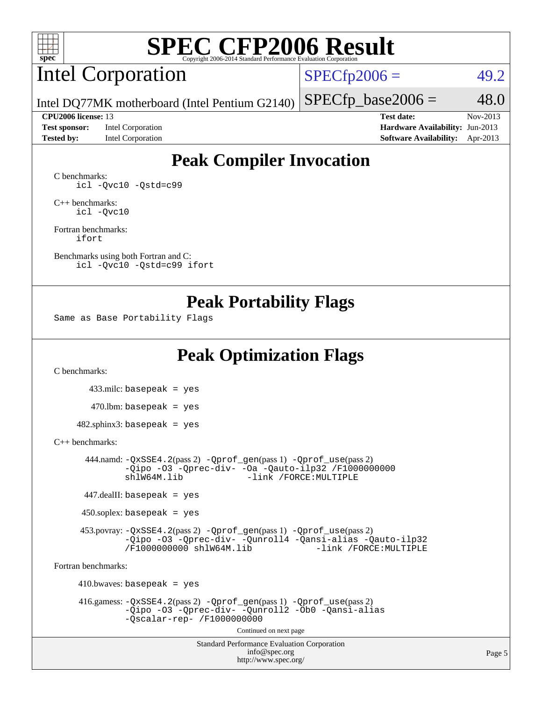

# Intel Corporation

 $SPECTp2006 =$  49.2

Intel DQ77MK motherboard (Intel Pentium G2140)

**[Test sponsor:](http://www.spec.org/auto/cpu2006/Docs/result-fields.html#Testsponsor)** Intel Corporation **[Hardware Availability:](http://www.spec.org/auto/cpu2006/Docs/result-fields.html#HardwareAvailability)** Jun-2013

**[CPU2006 license:](http://www.spec.org/auto/cpu2006/Docs/result-fields.html#CPU2006license)** 13 **[Test date:](http://www.spec.org/auto/cpu2006/Docs/result-fields.html#Testdate)** Nov-2013 **[Tested by:](http://www.spec.org/auto/cpu2006/Docs/result-fields.html#Testedby)** Intel Corporation **[Software Availability:](http://www.spec.org/auto/cpu2006/Docs/result-fields.html#SoftwareAvailability)** Apr-2013

 $SPECfp\_base2006 = 48.0$ 

## **[Peak Compiler Invocation](http://www.spec.org/auto/cpu2006/Docs/result-fields.html#PeakCompilerInvocation)**

[C benchmarks](http://www.spec.org/auto/cpu2006/Docs/result-fields.html#Cbenchmarks): [icl -Qvc10](http://www.spec.org/cpu2006/results/res2014q3/cpu2006-20140701-30161.flags.html#user_CCpeak_intel_icc_vc10_9607f3ecbcdf68042245f068e51b40c1) [-Qstd=c99](http://www.spec.org/cpu2006/results/res2014q3/cpu2006-20140701-30161.flags.html#user_CCpeak_intel_compiler_c99_mode_1a3d110e3041b3ad4466830521bdad2a)

[C++ benchmarks:](http://www.spec.org/auto/cpu2006/Docs/result-fields.html#CXXbenchmarks) [icl -Qvc10](http://www.spec.org/cpu2006/results/res2014q3/cpu2006-20140701-30161.flags.html#user_CXXpeak_intel_icc_vc10_9607f3ecbcdf68042245f068e51b40c1)

[Fortran benchmarks](http://www.spec.org/auto/cpu2006/Docs/result-fields.html#Fortranbenchmarks): [ifort](http://www.spec.org/cpu2006/results/res2014q3/cpu2006-20140701-30161.flags.html#user_FCpeak_intel_ifort_8a5e5e06b19a251bdeaf8fdab5d62f20)

[Benchmarks using both Fortran and C](http://www.spec.org/auto/cpu2006/Docs/result-fields.html#BenchmarksusingbothFortranandC): [icl -Qvc10](http://www.spec.org/cpu2006/results/res2014q3/cpu2006-20140701-30161.flags.html#user_CC_FCpeak_intel_icc_vc10_9607f3ecbcdf68042245f068e51b40c1) [-Qstd=c99](http://www.spec.org/cpu2006/results/res2014q3/cpu2006-20140701-30161.flags.html#user_CC_FCpeak_intel_compiler_c99_mode_1a3d110e3041b3ad4466830521bdad2a) [ifort](http://www.spec.org/cpu2006/results/res2014q3/cpu2006-20140701-30161.flags.html#user_CC_FCpeak_intel_ifort_8a5e5e06b19a251bdeaf8fdab5d62f20)

### **[Peak Portability Flags](http://www.spec.org/auto/cpu2006/Docs/result-fields.html#PeakPortabilityFlags)**

Same as Base Portability Flags

## **[Peak Optimization Flags](http://www.spec.org/auto/cpu2006/Docs/result-fields.html#PeakOptimizationFlags)**

[C benchmarks](http://www.spec.org/auto/cpu2006/Docs/result-fields.html#Cbenchmarks):

 433.milc: basepeak = yes  $470.1$ bm: basepeak = yes  $482$ .sphinx3: basepeak = yes

### [C++ benchmarks:](http://www.spec.org/auto/cpu2006/Docs/result-fields.html#CXXbenchmarks)

 444.namd: [-QxSSE4.2](http://www.spec.org/cpu2006/results/res2014q3/cpu2006-20140701-30161.flags.html#user_peakPASS2_CXXFLAGSPASS2_LDFLAGS444_namd_f-QxSSE42_372695bbe211719895df0310b324a1ca)(pass 2) [-Qprof\\_gen](http://www.spec.org/cpu2006/results/res2014q3/cpu2006-20140701-30161.flags.html#user_peakPASS1_CXXFLAGSPASS1_LDFLAGS444_namd_Qprof_gen)(pass 1) [-Qprof\\_use](http://www.spec.org/cpu2006/results/res2014q3/cpu2006-20140701-30161.flags.html#user_peakPASS2_CXXFLAGSPASS2_LDFLAGS444_namd_Qprof_use)(pass 2) [-Qipo](http://www.spec.org/cpu2006/results/res2014q3/cpu2006-20140701-30161.flags.html#user_peakOPTIMIZE444_namd_f-Qipo) [-O3](http://www.spec.org/cpu2006/results/res2014q3/cpu2006-20140701-30161.flags.html#user_peakOPTIMIZE444_namd_f-O3) [-Qprec-div-](http://www.spec.org/cpu2006/results/res2014q3/cpu2006-20140701-30161.flags.html#user_peakOPTIMIZE444_namd_f-Qprec-div-) [-Oa](http://www.spec.org/cpu2006/results/res2014q3/cpu2006-20140701-30161.flags.html#user_peakOPTIMIZE444_namd_f-Oa) [-Qauto-ilp32](http://www.spec.org/cpu2006/results/res2014q3/cpu2006-20140701-30161.flags.html#user_peakCXXOPTIMIZE444_namd_f-Qauto-ilp32) [/F1000000000](http://www.spec.org/cpu2006/results/res2014q3/cpu2006-20140701-30161.flags.html#user_peakEXTRA_LDFLAGS444_namd_set_stack_space_25d7749c1988d91b7f93afbc0ec53727) -link /FORCE: MULTIPLE

447.dealII: basepeak = yes

 $450$ .soplex: basepeak = yes

 453.povray: [-QxSSE4.2](http://www.spec.org/cpu2006/results/res2014q3/cpu2006-20140701-30161.flags.html#user_peakPASS2_CXXFLAGSPASS2_LDFLAGS453_povray_f-QxSSE42_372695bbe211719895df0310b324a1ca)(pass 2) [-Qprof\\_gen](http://www.spec.org/cpu2006/results/res2014q3/cpu2006-20140701-30161.flags.html#user_peakPASS1_CXXFLAGSPASS1_LDFLAGS453_povray_Qprof_gen)(pass 1) [-Qprof\\_use](http://www.spec.org/cpu2006/results/res2014q3/cpu2006-20140701-30161.flags.html#user_peakPASS2_CXXFLAGSPASS2_LDFLAGS453_povray_Qprof_use)(pass 2) [-Qipo](http://www.spec.org/cpu2006/results/res2014q3/cpu2006-20140701-30161.flags.html#user_peakOPTIMIZE453_povray_f-Qipo) [-O3](http://www.spec.org/cpu2006/results/res2014q3/cpu2006-20140701-30161.flags.html#user_peakOPTIMIZE453_povray_f-O3) [-Qprec-div-](http://www.spec.org/cpu2006/results/res2014q3/cpu2006-20140701-30161.flags.html#user_peakOPTIMIZE453_povray_f-Qprec-div-) [-Qunroll4](http://www.spec.org/cpu2006/results/res2014q3/cpu2006-20140701-30161.flags.html#user_peakOPTIMIZE453_povray_f-Qunroll_013b1c0ea3aa84ef2c65e488bcc3d968) [-Qansi-alias](http://www.spec.org/cpu2006/results/res2014q3/cpu2006-20140701-30161.flags.html#user_peakOPTIMIZE453_povray_f-Qansi-alias) [-Qauto-ilp32](http://www.spec.org/cpu2006/results/res2014q3/cpu2006-20140701-30161.flags.html#user_peakCXXOPTIMIZE453_povray_f-Qauto-ilp32) [/F1000000000](http://www.spec.org/cpu2006/results/res2014q3/cpu2006-20140701-30161.flags.html#user_peakEXTRA_LDFLAGS453_povray_set_stack_space_25d7749c1988d91b7f93afbc0ec53727) [shlW64M.lib](http://www.spec.org/cpu2006/results/res2014q3/cpu2006-20140701-30161.flags.html#user_peakEXTRA_LIBS453_povray_SmartHeap64_c4f7f76711bdf8c0633a5c1edf6e5396)

[Fortran benchmarks](http://www.spec.org/auto/cpu2006/Docs/result-fields.html#Fortranbenchmarks):

 $410.bwaves: basepeak = yes$  416.gamess: [-QxSSE4.2](http://www.spec.org/cpu2006/results/res2014q3/cpu2006-20140701-30161.flags.html#user_peakPASS2_FFLAGSPASS2_LDFLAGS416_gamess_f-QxSSE42_372695bbe211719895df0310b324a1ca)(pass 2) [-Qprof\\_gen](http://www.spec.org/cpu2006/results/res2014q3/cpu2006-20140701-30161.flags.html#user_peakPASS1_FFLAGSPASS1_LDFLAGS416_gamess_Qprof_gen)(pass 1) [-Qprof\\_use](http://www.spec.org/cpu2006/results/res2014q3/cpu2006-20140701-30161.flags.html#user_peakPASS2_FFLAGSPASS2_LDFLAGS416_gamess_Qprof_use)(pass 2) [-Qipo](http://www.spec.org/cpu2006/results/res2014q3/cpu2006-20140701-30161.flags.html#user_peakOPTIMIZE416_gamess_f-Qipo) [-O3](http://www.spec.org/cpu2006/results/res2014q3/cpu2006-20140701-30161.flags.html#user_peakOPTIMIZE416_gamess_f-O3) [-Qprec-div-](http://www.spec.org/cpu2006/results/res2014q3/cpu2006-20140701-30161.flags.html#user_peakOPTIMIZE416_gamess_f-Qprec-div-) [-Qunroll2](http://www.spec.org/cpu2006/results/res2014q3/cpu2006-20140701-30161.flags.html#user_peakOPTIMIZE416_gamess_f-Qunroll_1d9456aa650e77fc2a0cf43cef3fa08c) [-Ob0](http://www.spec.org/cpu2006/results/res2014q3/cpu2006-20140701-30161.flags.html#user_peakOPTIMIZE416_gamess_f-Ob_n_fbe6f6428adb7d4b74b1e99bb2444c2d) [-Qansi-alias](http://www.spec.org/cpu2006/results/res2014q3/cpu2006-20140701-30161.flags.html#user_peakOPTIMIZE416_gamess_f-Qansi-alias) [-Qscalar-rep-](http://www.spec.org/cpu2006/results/res2014q3/cpu2006-20140701-30161.flags.html#user_peakOPTIMIZE416_gamess_f-Qscalar-rep_02cb9e11a5340d80ab3062d84e5dfb2e) [/F1000000000](http://www.spec.org/cpu2006/results/res2014q3/cpu2006-20140701-30161.flags.html#user_peakEXTRA_LDFLAGS416_gamess_set_stack_space_25d7749c1988d91b7f93afbc0ec53727) Continued on next page

> Standard Performance Evaluation Corporation [info@spec.org](mailto:info@spec.org) <http://www.spec.org/>